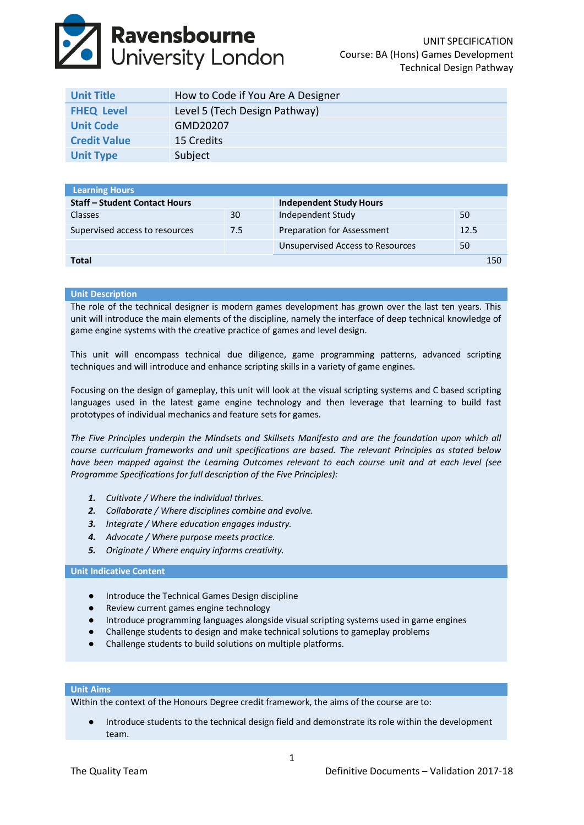# **Ravensbourne**<br>University London

| <b>Unit Title</b>   | How to Code if You Are A Designer |
|---------------------|-----------------------------------|
| <b>FHEQ Level</b>   | Level 5 (Tech Design Pathway)     |
| <b>Unit Code</b>    | GMD20207                          |
| <b>Credit Value</b> | 15 Credits                        |
| <b>Unit Type</b>    | Subject                           |

|     | <b>Independent Study Hours</b>    |      |     |
|-----|-----------------------------------|------|-----|
| 30  | Independent Study                 | 50   |     |
| 7.5 | <b>Preparation for Assessment</b> | 12.5 |     |
|     | Unsupervised Access to Resources  | 50   |     |
|     |                                   |      | 150 |
|     |                                   |      |     |

# **Unit Description**

The role of the technical designer is modern games development has grown over the last ten years. This unit will introduce the main elements of the discipline, namely the interface of deep technical knowledge of game engine systems with the creative practice of games and level design.

This unit will encompass technical due diligence, game programming patterns, advanced scripting techniques and will introduce and enhance scripting skills in a variety of game engines.

Focusing on the design of gameplay, this unit will look at the visual scripting systems and C based scripting languages used in the latest game engine technology and then leverage that learning to build fast prototypes of individual mechanics and feature sets for games.

*The Five Principles underpin the Mindsets and Skillsets Manifesto and are the foundation upon which all course curriculum frameworks and unit specifications are based. The relevant Principles as stated below have been mapped against the Learning Outcomes relevant to each course unit and at each level (see Programme Specifications for full description of the Five Principles):*

- *1. Cultivate / Where the individual thrives.*
- *2. Collaborate / Where disciplines combine and evolve.*
- *3. Integrate / Where education engages industry.*
- *4. Advocate / Where purpose meets practice.*
- *5. Originate / Where enquiry informs creativity.*

### **Unit Indicative Content**

- Introduce the Technical Games Design discipline
- Review current games engine technology
- Introduce programming languages alongside visual scripting systems used in game engines
- Challenge students to design and make technical solutions to gameplay problems
- Challenge students to build solutions on multiple platforms.

## **Unit Aims**

Within the context of the Honours Degree credit framework, the aims of the course are to:

Introduce students to the technical design field and demonstrate its role within the development team.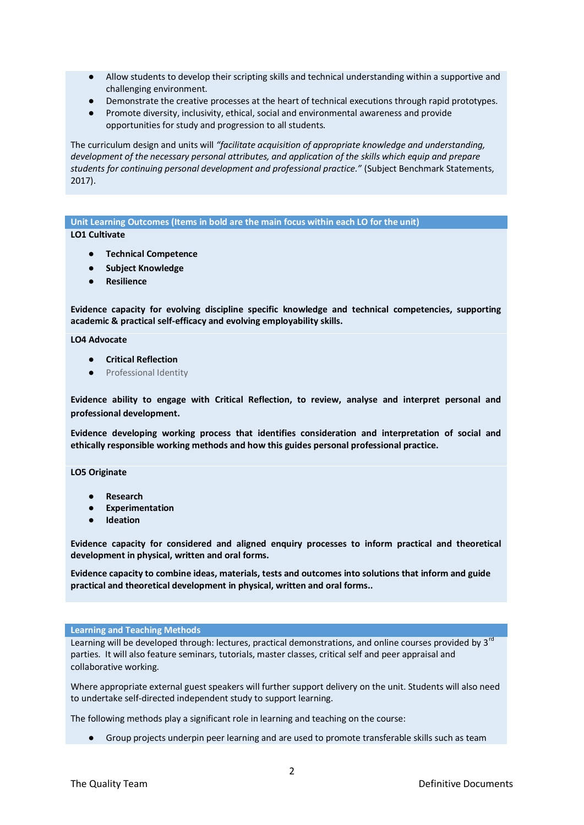- Allow students to develop their scripting skills and technical understanding within a supportive and challenging environment.
- Demonstrate the creative processes at the heart of technical executions through rapid prototypes.
- Promote diversity, inclusivity, ethical, social and environmental awareness and provide opportunities for study and progression to all students.

The curriculum design and units will *"facilitate acquisition of appropriate knowledge and understanding, development of the necessary personal attributes, and application of the skills which equip and prepare students for continuing personal development and professional practice."* (Subject Benchmark Statements, 2017).

**Unit Learning Outcomes (Items in bold are the main focus within each LO for the unit) LO1 Cultivate**

- **Technical Competence**
- **Subject Knowledge**
- **Resilience**

**Evidence capacity for evolving discipline specific knowledge and technical competencies, supporting academic & practical self-efficacy and evolving employability skills.**

**LO4 Advocate**

- **Critical Reflection**
- Professional Identity

**Evidence ability to engage with Critical Reflection, to review, analyse and interpret personal and professional development.**

**Evidence developing working process that identifies consideration and interpretation of social and ethically responsible working methods and how this guides personal professional practice.**

**LO5 Originate**

- **Research**
- **Experimentation**
- **Ideation**

**Evidence capacity for considered and aligned enquiry processes to inform practical and theoretical development in physical, written and oral forms.**

**Evidence capacity to combine ideas, materials, tests and outcomes into solutions that inform and guide practical and theoretical development in physical, written and oral forms..**

#### **Learning and Teaching Methods**

Learning will be developed through: lectures, practical demonstrations, and online courses provided by 3<sup>rd</sup> parties. It will also feature seminars, tutorials, master classes, critical self and peer appraisal and collaborative working.

Where appropriate external guest speakers will further support delivery on the unit. Students will also need to undertake self‐directed independent study to support learning.

The following methods play a significant role in learning and teaching on the course:

● Group projects underpin peer learning and are used to promote transferable skills such as team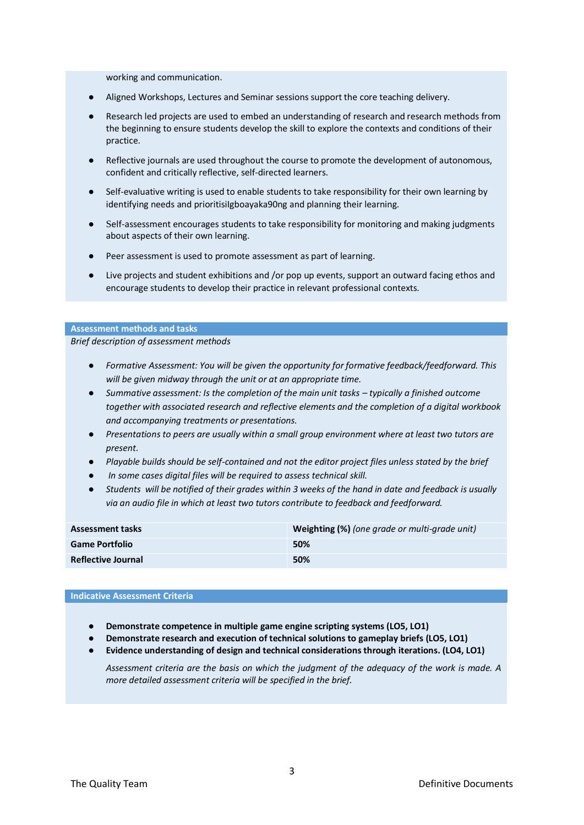working and communication.

- Aligned Workshops, Lectures and Seminar sessions support the core teaching delivery.
- Research led projects are used to embed an understanding of research and research methods from the beginning to ensure students develop the skill to explore the contexts and conditions of their practice.
- Reflective journals are used throughout the course to promote the development of autonomous, confident and critically reflective, self‐directed learners.
- Self-evaluative writing is used to enable students to take responsibility for their own learning by identifying needs and prioritisiIgboayaka90ng and planning their learning.
- Self-assessment encourages students to take responsibility for monitoring and making judgments about aspects of their own learning.
- Peer assessment is used to promote assessment as part of learning.
- Live projects and student exhibitions and /or pop up events, support an outward facing ethos and encourage students to develop their practice in relevant professional contexts.

#### **Assessment methods and tasks**

*Brief description of assessment methods*

- *Formative Assessment: You will be given the opportunity for formative feedback/feedforward. This will be given midway through the unit or at an appropriate time.*
- *Summative assessment: Is the completion of the main unit tasks – typically a finished outcome together with associated research and reflective elements and the completion of a digital workbook and accompanying treatments or presentations.*
- *Presentations to peers are usually within a small group environment where at least two tutors are present.*
- *Playable builds should be self-contained and not the editor project files unless stated by the brief*
- In some cases digital files will be required to assess technical skill.
- Students will be notified of their grades within 3 weeks of the hand in date and feedback is usually *via an audio file in which at least two tutors contribute to feedback and feedforward.*

| <b>Assessment tasks</b>   | Weighting (%) (one grade or multi-grade unit) |
|---------------------------|-----------------------------------------------|
| <b>Game Portfolio</b>     | 50%                                           |
| <b>Reflective Journal</b> | 50%                                           |

#### **Indicative Assessment Criteria**

- **Demonstrate competence in multiple game engine scripting systems (LO5, LO1)**
- **Demonstrate research and execution of technical solutions to gameplay briefs (LO5, LO1)**
- **Evidence understanding of design and technical considerations through iterations. (LO4, LO1)**

*Assessment criteria are the basis on which the judgment of the adequacy of the work is made. A more detailed assessment criteria will be specified in the brief.*